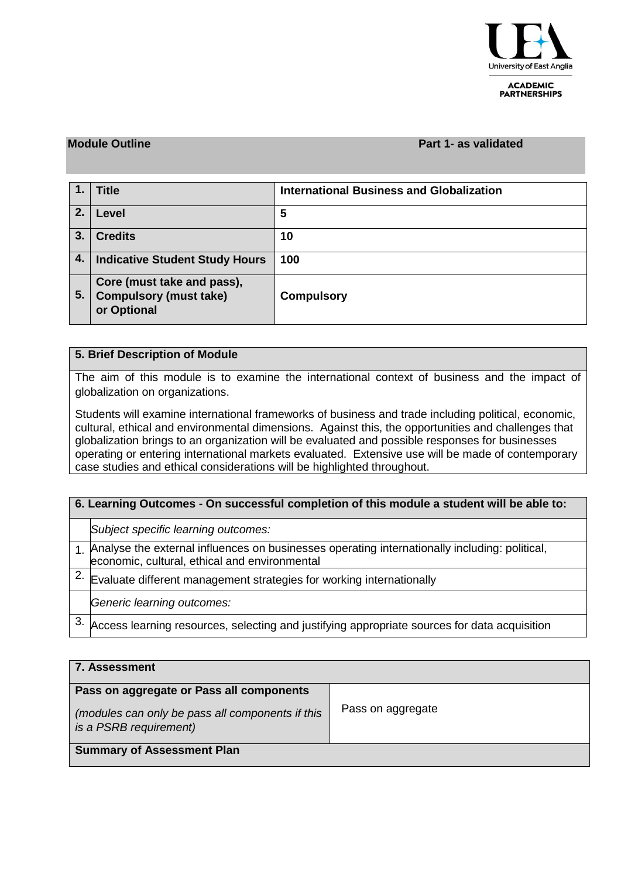

**ACADEMIC PARTNERSHIPS** 

#### **Module Outline Part 1- as validated**

|    | <b>Title</b>                                                               | <b>International Business and Globalization</b> |
|----|----------------------------------------------------------------------------|-------------------------------------------------|
| 2. | Level                                                                      | 5                                               |
| 3. | <b>Credits</b>                                                             | 10                                              |
| 4. | <b>Indicative Student Study Hours</b>                                      | 100                                             |
| 5. | Core (must take and pass),<br><b>Compulsory (must take)</b><br>or Optional | <b>Compulsory</b>                               |

### **5. Brief Description of Module**

The aim of this module is to examine the international context of business and the impact of globalization on organizations.

Students will examine international frameworks of business and trade including political, economic, cultural, ethical and environmental dimensions. Against this, the opportunities and challenges that globalization brings to an organization will be evaluated and possible responses for businesses operating or entering international markets evaluated. Extensive use will be made of contemporary case studies and ethical considerations will be highlighted throughout.

| 6. Learning Outcomes - On successful completion of this module a student will be able to: |                                                                                                                                                  |  |  |  |  |
|-------------------------------------------------------------------------------------------|--------------------------------------------------------------------------------------------------------------------------------------------------|--|--|--|--|
|                                                                                           | Subject specific learning outcomes:                                                                                                              |  |  |  |  |
|                                                                                           | . Analyse the external influences on businesses operating internationally including: political,<br>economic, cultural, ethical and environmental |  |  |  |  |
|                                                                                           | Evaluate different management strategies for working internationally                                                                             |  |  |  |  |
|                                                                                           | Generic learning outcomes:                                                                                                                       |  |  |  |  |
|                                                                                           | Access learning resources, selecting and justifying appropriate sources for data acquisition                                                     |  |  |  |  |

| ∣ 7. Assessment                                                            |                   |  |  |  |  |  |
|----------------------------------------------------------------------------|-------------------|--|--|--|--|--|
| Pass on aggregate or Pass all components                                   |                   |  |  |  |  |  |
| (modules can only be pass all components if this<br>is a PSRB requirement) | Pass on aggregate |  |  |  |  |  |
| <b>Summary of Assessment Plan</b>                                          |                   |  |  |  |  |  |